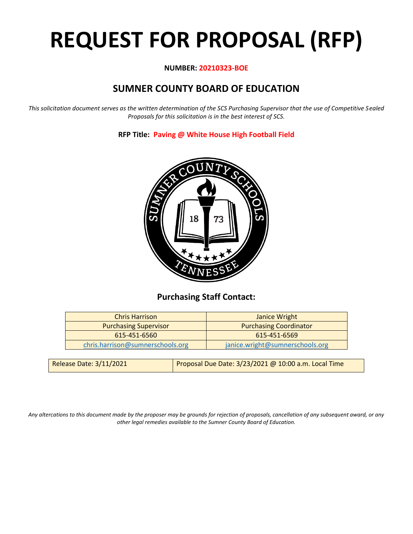# **REQUEST FOR PROPOSAL (RFP)**

## **NUMBER: 20210323-BOE**

# **SUMNER COUNTY BOARD OF EDUCATION**

*This solicitation document serves as the written determination of the SCS Purchasing Supervisor that the use of Competitive Sealed Proposals for this solicitation is in the best interest of SCS.*

**RFP Title: Paving @ White House High Football Field**



## **Purchasing Staff Contact:**

| <b>Chris Harrison</b>            | <b>Janice Wright</b>            |  |  |  |  |  |
|----------------------------------|---------------------------------|--|--|--|--|--|
| <b>Purchasing Supervisor</b>     | <b>Purchasing Coordinator</b>   |  |  |  |  |  |
| 615-451-6560                     | 615-451-6569                    |  |  |  |  |  |
| chris.harrison@sumnerschools.org | janice.wright@sumnerschools.org |  |  |  |  |  |
|                                  |                                 |  |  |  |  |  |

|  | <b>Release Date: 3/11/2021</b> | Proposal Due Date: $3/23/2021$ @ 10:00 a.m. Local Time |
|--|--------------------------------|--------------------------------------------------------|
|--|--------------------------------|--------------------------------------------------------|

*Any altercations to this document made by the proposer may be grounds for rejection of proposals, cancellation of any subsequent award, or any other legal remedies available to the Sumner County Board of Education.*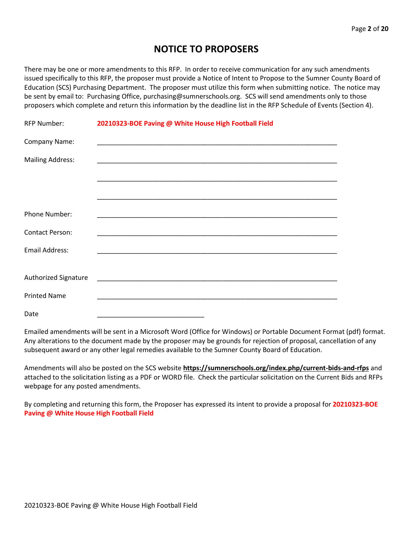# **NOTICE TO PROPOSERS**

There may be one or more amendments to this RFP. In order to receive communication for any such amendments issued specifically to this RFP, the proposer must provide a Notice of Intent to Propose to the Sumner County Board of Education (SCS) Purchasing Department. The proposer must utilize this form when submitting notice. The notice may be sent by email to: Purchasing Office, purchasing@sumnerschools.org. SCS will send amendments only to those proposers which complete and return this information by the deadline list in the RFP Schedule of Events (Section 4).

| <b>RFP Number:</b>      | 20210323-BOE Paving @ White House High Football Field |
|-------------------------|-------------------------------------------------------|
| Company Name:           |                                                       |
| <b>Mailing Address:</b> |                                                       |
|                         |                                                       |
|                         |                                                       |
| Phone Number:           |                                                       |
| <b>Contact Person:</b>  |                                                       |
| <b>Email Address:</b>   |                                                       |
|                         |                                                       |
| Authorized Signature    |                                                       |
| <b>Printed Name</b>     |                                                       |
| Date                    |                                                       |

Emailed amendments will be sent in a Microsoft Word (Office for Windows) or Portable Document Format (pdf) format. Any alterations to the document made by the proposer may be grounds for rejection of proposal, cancellation of any subsequent award or any other legal remedies available to the Sumner County Board of Education.

Amendments will also be posted on the SCS website **https://sumnerschools.org/index.php/current-bids-and-rfps** and attached to the solicitation listing as a PDF or WORD file. Check the particular solicitation on the Current Bids and RFPs webpage for any posted amendments.

By completing and returning this form, the Proposer has expressed its intent to provide a proposal for **20210323-BOE Paving @ White House High Football Field**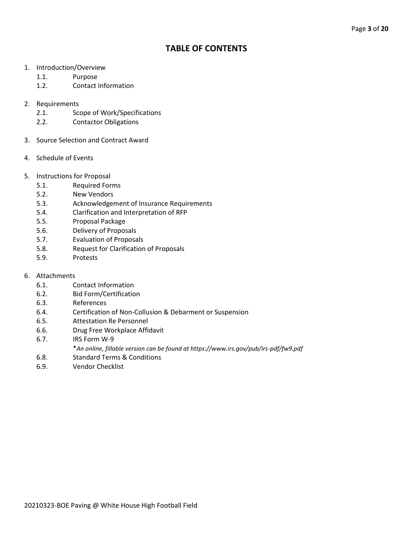## **TABLE OF CONTENTS**

- 1. Introduction/Overview
	- 1.1. Purpose
	- 1.2. Contact Information
- 2. Requirements
	- 2.1. Scope of Work/Specifications
	- 2.2. Contactor Obligations
- 3. Source Selection and Contract Award
- 4. Schedule of Events
- 5. Instructions for Proposal
	- 5.1. Required Forms
	- 5.2. New Vendors
	- 5.3. Acknowledgement of Insurance Requirements
	- 5.4. Clarification and Interpretation of RFP
	- 5.5. Proposal Package
	- 5.6. Delivery of Proposals
	- 5.7. Evaluation of Proposals
	- 5.8. Request for Clarification of Proposals
	- 5.9. Protests
- 6. Attachments
	- 6.1. Contact Information
	- 6.2. Bid Form/Certification
	- 6.3. References
	- 6.4. Certification of Non-Collusion & Debarment or Suspension
	- 6.5. Attestation Re Personnel
	- 6.6. Drug Free Workplace Affidavit
	- 6.7. IRS Form W-9
		- \**An online, fillable version can be found at https://www.irs.gov/pub/irs-pdf/fw9.pdf*
	- 6.8. Standard Terms & Conditions
	- 6.9. Vendor Checklist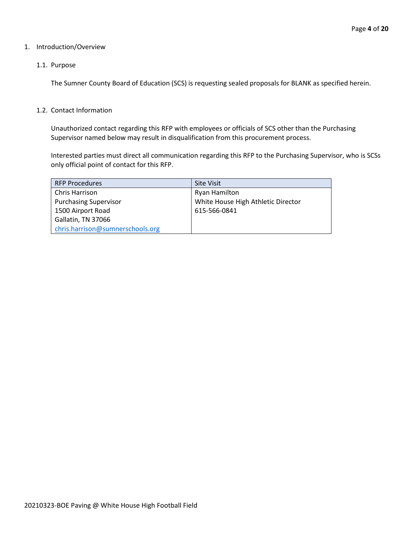#### 1. Introduction/Overview

#### 1.1. Purpose

The Sumner County Board of Education (SCS) is requesting sealed proposals for BLANK as specified herein.

#### 1.2. Contact Information

Unauthorized contact regarding this RFP with employees or officials of SCS other than the Purchasing Supervisor named below may result in disqualification from this procurement process.

Interested parties must direct all communication regarding this RFP to the Purchasing Supervisor, who is SCSs only official point of contact for this RFP.

| <b>RFP Procedures</b>            | <b>Site Visit</b>                  |  |  |  |  |  |
|----------------------------------|------------------------------------|--|--|--|--|--|
| Chris Harrison                   | Ryan Hamilton                      |  |  |  |  |  |
| <b>Purchasing Supervisor</b>     | White House High Athletic Director |  |  |  |  |  |
| 1500 Airport Road                | 615-566-0841                       |  |  |  |  |  |
| Gallatin, TN 37066               |                                    |  |  |  |  |  |
| chris.harrison@sumnerschools.org |                                    |  |  |  |  |  |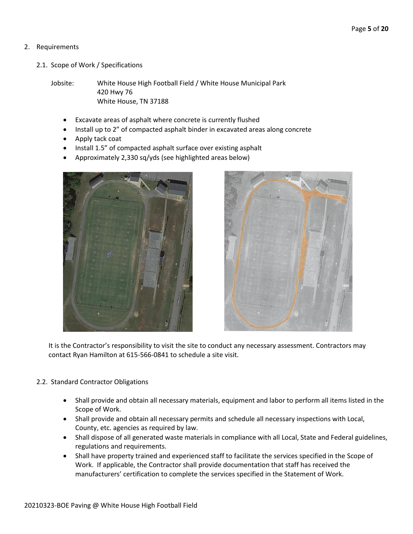## 2. Requirements

2.1. Scope of Work / Specifications

Jobsite: White House High Football Field / White House Municipal Park 420 Hwy 76 White House, TN 37188

- Excavate areas of asphalt where concrete is currently flushed
- Install up to 2" of compacted asphalt binder in excavated areas along concrete
- Apply tack coat
- Install 1.5" of compacted asphalt surface over existing asphalt
- Approximately 2,330 sq/yds (see highlighted areas below)





It is the Contractor's responsibility to visit the site to conduct any necessary assessment. Contractors may contact Ryan Hamilton at 615-566-0841 to schedule a site visit.

#### 2.2. Standard Contractor Obligations

- Shall provide and obtain all necessary materials, equipment and labor to perform all items listed in the Scope of Work.
- Shall provide and obtain all necessary permits and schedule all necessary inspections with Local, County, etc. agencies as required by law.
- Shall dispose of all generated waste materials in compliance with all Local, State and Federal guidelines, regulations and requirements.
- Shall have property trained and experienced staff to facilitate the services specified in the Scope of Work. If applicable, the Contractor shall provide documentation that staff has received the manufacturers' certification to complete the services specified in the Statement of Work.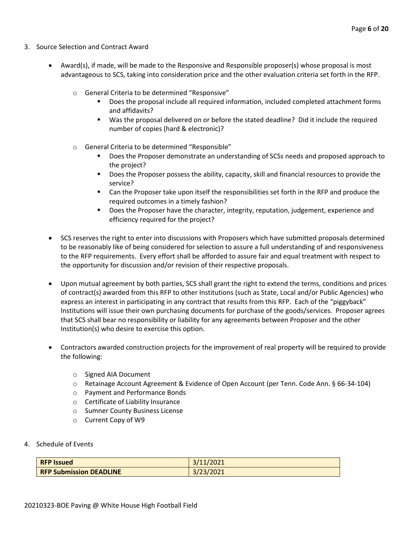- 3. Source Selection and Contract Award
	- Award(s), if made, will be made to the Responsive and Responsible proposer(s) whose proposal is most advantageous to SCS, taking into consideration price and the other evaluation criteria set forth in the RFP.
		- o General Criteria to be determined "Responsive"
			- Does the proposal include all required information, included completed attachment forms and affidavits?
			- Was the proposal delivered on or before the stated deadline? Did it include the required number of copies (hard & electronic)?
		- o General Criteria to be determined "Responsible"
			- Does the Proposer demonstrate an understanding of SCSs needs and proposed approach to the project?
			- Does the Proposer possess the ability, capacity, skill and financial resources to provide the service?
			- Can the Proposer take upon itself the responsibilities set forth in the RFP and produce the required outcomes in a timely fashion?
			- **■** Does the Proposer have the character, integrity, reputation, judgement, experience and efficiency required for the project?
	- SCS reserves the right to enter into discussions with Proposers which have submitted proposals determined to be reasonably like of being considered for selection to assure a full understanding of and responsiveness to the RFP requirements. Every effort shall be afforded to assure fair and equal treatment with respect to the opportunity for discussion and/or revision of their respective proposals.
	- Upon mutual agreement by both parties, SCS shall grant the right to extend the terms, conditions and prices of contract(s) awarded from this RFP to other Institutions (such as State, Local and/or Public Agencies) who express an interest in participating in any contract that results from this RFP. Each of the "piggyback" Institutions will issue their own purchasing documents for purchase of the goods/services. Proposer agrees that SCS shall bear no responsibility or liability for any agreements between Proposer and the other Institution(s) who desire to exercise this option.
	- Contractors awarded construction projects for the improvement of real property will be required to provide the following:
		- o Signed AIA Document
		- o Retainage Account Agreement & Evidence of Open Account (per Tenn. Code Ann. § 66-34-104)
		- o Payment and Performance Bonds
		- o Certificate of Liability Insurance
		- o Sumner County Business License
		- o Current Copy of W9
- 4. Schedule of Events

| <b>RFP Issued</b>              | 3/11/2021 |
|--------------------------------|-----------|
| <b>RFP Submission DEADLINE</b> | 3/23/2021 |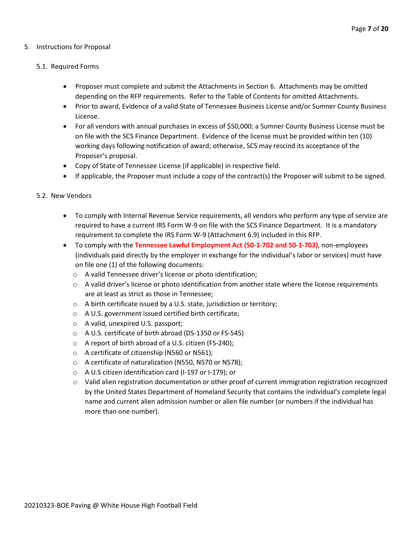#### 5. Instructions for Proposal

#### 5.1. Required Forms

- Proposer must complete and submit the Attachments in Section 6. Attachments may be omitted depending on the RFP requirements. Refer to the Table of Contents for omitted Attachments.
- Prior to award, Evidence of a valid State of Tennessee Business License and/or Sumner County Business License.
- For all vendors with annual purchases in excess of \$50,000; a Sumner County Business License must be on file with the SCS Finance Department. Evidence of the license must be provided within ten (10) working days following notification of award; otherwise, SCS may rescind its acceptance of the Proposer's proposal.
- Copy of State of Tennessee License (if applicable) in respective field.
- If applicable, the Proposer must include a copy of the contract(s) the Proposer will submit to be signed.

#### 5.2. New Vendors

- To comply with Internal Revenue Service requirements, all vendors who perform any type of service are required to have a current IRS Form W-9 on file with the SCS Finance Department. It is a mandatory requirement to complete the IRS Form W-9 (Attachment 6.9) included in this RFP.
- To comply with the **Tennessee Lawful Employment Act (50-1-702 and 50-1-703)**, non-employees (individuals paid directly by the employer in exchange for the individual's labor or services) must have on file one (1) of the following documents:
	- o A valid Tennessee driver's license or photo identification;
	- $\circ$  A valid driver's license or photo identification from another state where the license requirements are at least as strict as those in Tennessee;
	- o A birth certificate issued by a U.S. state, jurisdiction or territory;
	- o A U.S. government issued certified birth certificate;
	- o A valid, unexpired U.S. passport;
	- o A U.S. certificate of birth abroad (DS-1350 or FS-545)
	- o A report of birth abroad of a U.S. citizen (FS-240);
	- o A certificate of citizenship (N560 or N561);
	- o A certificate of naturalization (N550, N570 or N578);
	- o A U.S citizen identification card (I-197 or I-179); or
	- $\circ$  Valid alien registration documentation or other proof of current immigration registration recognized by the United States Department of Homeland Security that contains the individual's complete legal name and current alien admission number or alien file number (or numbers if the individual has more than one number).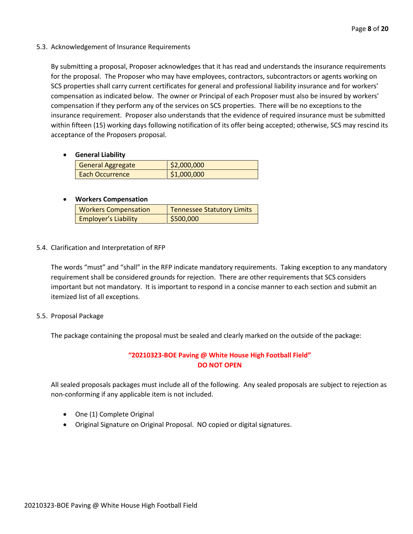5.3. Acknowledgement of Insurance Requirements

By submitting a proposal, Proposer acknowledges that it has read and understands the insurance requirements for the proposal. The Proposer who may have employees, contractors, subcontractors or agents working on SCS properties shall carry current certificates for general and professional liability insurance and for workers' compensation as indicated below. The owner or Principal of each Proposer must also be insured by workers' compensation if they perform any of the services on SCS properties. There will be no exceptions to the insurance requirement. Proposer also understands that the evidence of required insurance must be submitted within fifteen (15) working days following notification of its offer being accepted; otherwise, SCS may rescind its acceptance of the Proposers proposal.

• **General Liability**

| General Aggregate      | \$2,000,000 |
|------------------------|-------------|
| <b>Each Occurrence</b> | \$1,000,000 |

#### • **Workers Compensation**

| <b>Workers Compensation</b> | <b>Tennessee Statutory Limits</b> |  |  |  |  |  |
|-----------------------------|-----------------------------------|--|--|--|--|--|
| <b>Employer's Liability</b> | \$500,000                         |  |  |  |  |  |

5.4. Clarification and Interpretation of RFP

The words "must" and "shall" in the RFP indicate mandatory requirements. Taking exception to any mandatory requirement shall be considered grounds for rejection. There are other requirements that SCS considers important but not mandatory. It is important to respond in a concise manner to each section and submit an itemized list of all exceptions.

5.5. Proposal Package

The package containing the proposal must be sealed and clearly marked on the outside of the package:

## **"20210323-BOE Paving @ White House High Football Field" DO NOT OPEN**

All sealed proposals packages must include all of the following. Any sealed proposals are subject to rejection as non-conforming if any applicable item is not included.

- One (1) Complete Original
- Original Signature on Original Proposal. NO copied or digital signatures.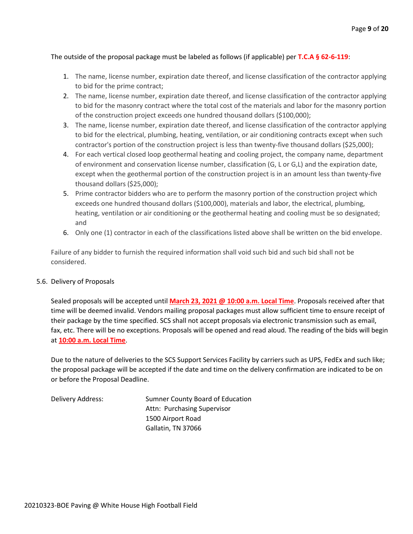#### The outside of the proposal package must be labeled as follows (if applicable) per **T.C.A § 62-6-119**:

- 1. The name, license number, expiration date thereof, and license classification of the contractor applying to bid for the prime contract;
- 2. The name, license number, expiration date thereof, and license classification of the contractor applying to bid for the masonry contract where the total cost of the materials and labor for the masonry portion of the construction project exceeds one hundred thousand dollars (\$100,000);
- 3. The name, license number, expiration date thereof, and license classification of the contractor applying to bid for the electrical, plumbing, heating, ventilation, or air conditioning contracts except when such contractor's portion of the construction project is less than twenty-five thousand dollars (\$25,000);
- 4. For each vertical closed loop geothermal heating and cooling project, the company name, department of environment and conservation license number, classification (G, L or G,L) and the expiration date, except when the geothermal portion of the construction project is in an amount less than twenty-five thousand dollars (\$25,000);
- 5. Prime contractor bidders who are to perform the masonry portion of the construction project which exceeds one hundred thousand dollars (\$100,000), materials and labor, the electrical, plumbing, heating, ventilation or air conditioning or the geothermal heating and cooling must be so designated; and
- 6. Only one (1) contractor in each of the classifications listed above shall be written on the bid envelope.

Failure of any bidder to furnish the required information shall void such bid and such bid shall not be considered.

#### 5.6. Delivery of Proposals

Sealed proposals will be accepted until **March 23, 2021 @ 10:00 a.m. Local Time**. Proposals received after that time will be deemed invalid. Vendors mailing proposal packages must allow sufficient time to ensure receipt of their package by the time specified. SCS shall not accept proposals via electronic transmission such as email, fax, etc. There will be no exceptions. Proposals will be opened and read aloud. The reading of the bids will begin at **10:00 a.m. Local Time**.

Due to the nature of deliveries to the SCS Support Services Facility by carriers such as UPS, FedEx and such like; the proposal package will be accepted if the date and time on the delivery confirmation are indicated to be on or before the Proposal Deadline.

Delivery Address: Sumner County Board of Education Attn: Purchasing Supervisor 1500 Airport Road Gallatin, TN 37066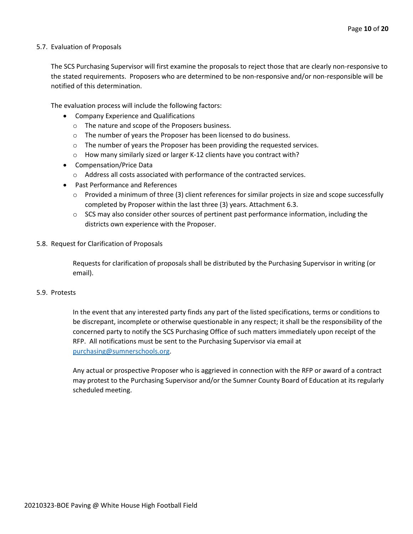#### 5.7. Evaluation of Proposals

The SCS Purchasing Supervisor will first examine the proposals to reject those that are clearly non-responsive to the stated requirements. Proposers who are determined to be non-responsive and/or non-responsible will be notified of this determination.

The evaluation process will include the following factors:

- Company Experience and Qualifications
	- o The nature and scope of the Proposers business.
	- $\circ$  The number of years the Proposer has been licensed to do business.
	- $\circ$  The number of years the Proposer has been providing the requested services.
	- o How many similarly sized or larger K-12 clients have you contract with?
- Compensation/Price Data
	- o Address all costs associated with performance of the contracted services.
- Past Performance and References
	- $\circ$  Provided a minimum of three (3) client references for similar projects in size and scope successfully completed by Proposer within the last three (3) years. Attachment 6.3.
	- $\circ$  SCS may also consider other sources of pertinent past performance information, including the districts own experience with the Proposer.
- 5.8. Request for Clarification of Proposals

Requests for clarification of proposals shall be distributed by the Purchasing Supervisor in writing (or email).

#### 5.9. Protests

In the event that any interested party finds any part of the listed specifications, terms or conditions to be discrepant, incomplete or otherwise questionable in any respect; it shall be the responsibility of the concerned party to notify the SCS Purchasing Office of such matters immediately upon receipt of the RFP. All notifications must be sent to the Purchasing Supervisor via email at [purchasing@sumnerschools.org.](mailto:purchasing@sumnerschools.org)

Any actual or prospective Proposer who is aggrieved in connection with the RFP or award of a contract may protest to the Purchasing Supervisor and/or the Sumner County Board of Education at its regularly scheduled meeting.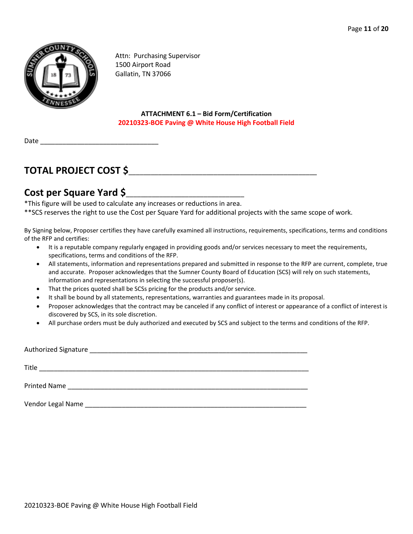

Attn: Purchasing Supervisor 1500 Airport Road Gallatin, TN 37066

#### **ATTACHMENT 6.1 – Bid Form/Certification 20210323-BOE Paving @ White House High Football Field**

Date

# **TOTAL PROJECT COST \$**\_\_\_\_\_\_\_\_\_\_\_\_\_\_\_\_\_\_\_\_\_\_\_\_\_\_\_\_\_\_\_\_\_\_\_\_\_\_\_\_\_\_\_\_\_\_\_\_\_\_\_

# **Cost per Square Yard \$**\_\_\_\_\_\_\_\_\_\_\_\_\_\_\_\_\_\_\_\_\_\_\_\_\_\_\_\_\_\_\_\_

\*This figure will be used to calculate any increases or reductions in area. \*\*SCS reserves the right to use the Cost per Square Yard for additional projects with the same scope of work.

By Signing below, Proposer certifies they have carefully examined all instructions, requirements, specifications, terms and conditions of the RFP and certifies:

- It is a reputable company regularly engaged in providing goods and/or services necessary to meet the requirements, specifications, terms and conditions of the RFP.
- All statements, information and representations prepared and submitted in response to the RFP are current, complete, true and accurate. Proposer acknowledges that the Sumner County Board of Education (SCS) will rely on such statements, information and representations in selecting the successful proposer(s).
- That the prices quoted shall be SCSs pricing for the products and/or service.
- It shall be bound by all statements, representations, warranties and guarantees made in its proposal.
- Proposer acknowledges that the contract may be canceled if any conflict of interest or appearance of a conflict of interest is discovered by SCS, in its sole discretion.
- All purchase orders must be duly authorized and executed by SCS and subject to the terms and conditions of the RFP.

| Authorized Signature |  |
|----------------------|--|
| Title                |  |
| <b>Printed Name</b>  |  |

Vendor Legal Name \_\_\_\_\_\_\_\_\_\_\_\_\_\_\_\_\_\_\_\_\_\_\_\_\_\_\_\_\_\_\_\_\_\_\_\_\_\_\_\_\_\_\_\_\_\_\_\_\_\_\_\_\_\_\_\_\_\_\_\_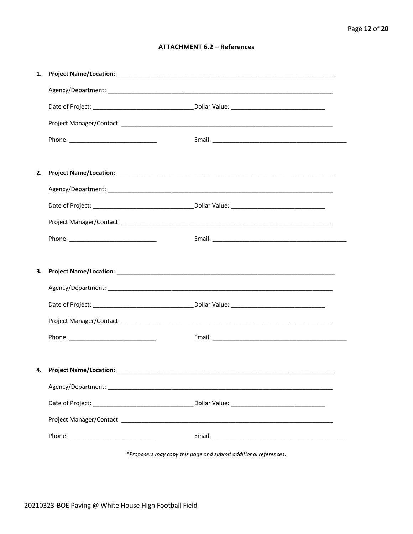#### **ATTACHMENT 6.2 - References**

| 1. |                                    |  |
|----|------------------------------------|--|
|    |                                    |  |
|    |                                    |  |
|    |                                    |  |
|    |                                    |  |
|    |                                    |  |
| 2. |                                    |  |
|    |                                    |  |
|    |                                    |  |
|    |                                    |  |
|    |                                    |  |
|    |                                    |  |
| З. |                                    |  |
|    |                                    |  |
|    |                                    |  |
|    |                                    |  |
|    |                                    |  |
|    |                                    |  |
|    | 4. Project Name/Location: ________ |  |
|    |                                    |  |
|    |                                    |  |
|    |                                    |  |
|    |                                    |  |
|    |                                    |  |

\*Proposers may copy this page and submit additional references.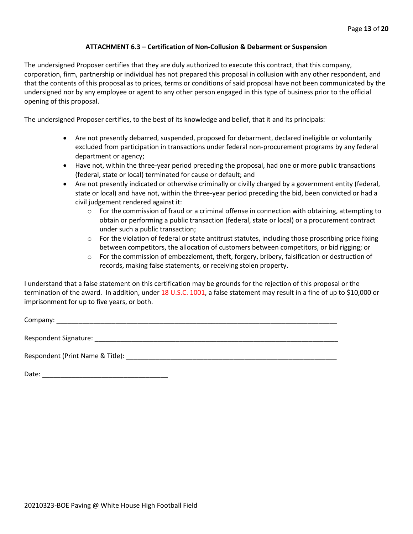#### **ATTACHMENT 6.3 – Certification of Non-Collusion & Debarment or Suspension**

The undersigned Proposer certifies that they are duly authorized to execute this contract, that this company, corporation, firm, partnership or individual has not prepared this proposal in collusion with any other respondent, and that the contents of this proposal as to prices, terms or conditions of said proposal have not been communicated by the undersigned nor by any employee or agent to any other person engaged in this type of business prior to the official opening of this proposal.

The undersigned Proposer certifies, to the best of its knowledge and belief, that it and its principals:

- Are not presently debarred, suspended, proposed for debarment, declared ineligible or voluntarily excluded from participation in transactions under federal non-procurement programs by any federal department or agency;
- Have not, within the three-year period preceding the proposal, had one or more public transactions (federal, state or local) terminated for cause or default; and
- Are not presently indicated or otherwise criminally or civilly charged by a government entity (federal, state or local) and have not, within the three-year period preceding the bid, been convicted or had a civil judgement rendered against it:
	- $\circ$  For the commission of fraud or a criminal offense in connection with obtaining, attempting to obtain or performing a public transaction (federal, state or local) or a procurement contract under such a public transaction;
	- $\circ$  For the violation of federal or state antitrust statutes, including those proscribing price fixing between competitors, the allocation of customers between competitors, or bid rigging; or
	- $\circ$  For the commission of embezzlement, theft, forgery, bribery, falsification or destruction of records, making false statements, or receiving stolen property.

I understand that a false statement on this certification may be grounds for the rejection of this proposal or the termination of the award. In addition, under 18 U.S.C. 1001, a false statement may result in a fine of up to \$10,000 or imprisonment for up to five years, or both.

Company: \_\_\_\_\_\_\_\_\_\_\_\_\_\_\_\_\_\_\_\_\_\_\_\_\_\_\_\_\_\_\_\_\_\_\_\_\_\_\_\_\_\_\_\_\_\_\_\_\_\_\_\_\_\_\_\_\_\_\_\_\_\_\_\_\_\_\_\_\_\_\_\_\_\_\_\_

Respondent Signature: \_\_\_\_\_\_\_\_\_\_\_\_\_\_\_\_\_\_\_\_\_\_\_\_\_\_\_\_\_\_\_\_\_\_\_\_\_\_\_\_\_\_\_\_\_\_\_\_\_\_\_\_\_\_\_\_\_\_\_\_\_\_\_\_\_\_

Respondent (Print Name & Title): \_\_\_\_\_\_\_\_\_\_\_\_\_\_\_\_\_\_\_\_\_\_\_\_\_\_\_\_\_\_\_\_\_\_\_\_\_\_\_\_\_\_\_\_\_\_\_\_\_\_\_\_\_\_\_\_\_

Date: \_\_\_\_\_\_\_\_\_\_\_\_\_\_\_\_\_\_\_\_\_\_\_\_\_\_\_\_\_\_\_\_\_\_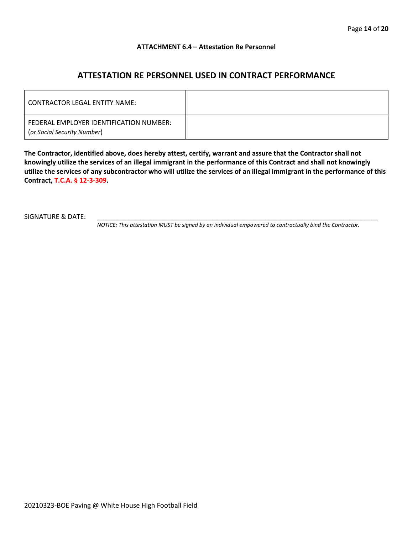#### **ATTACHMENT 6.4 – Attestation Re Personnel**

## **ATTESTATION RE PERSONNEL USED IN CONTRACT PERFORMANCE**

| CONTRACTOR LEGAL ENTITY NAME:                                          |  |
|------------------------------------------------------------------------|--|
| FEDERAL EMPLOYER IDENTIFICATION NUMBER:<br>(or Social Security Number) |  |

**The Contractor, identified above, does hereby attest, certify, warrant and assure that the Contractor shall not knowingly utilize the services of an illegal immigrant in the performance of this Contract and shall not knowingly utilize the services of any subcontractor who will utilize the services of an illegal immigrant in the performance of this Contract, T.C.A. § 12-3-309.**

SIGNATURE & DATE:

*NOTICE: This attestation MUST be signed by an individual empowered to contractually bind the Contractor.*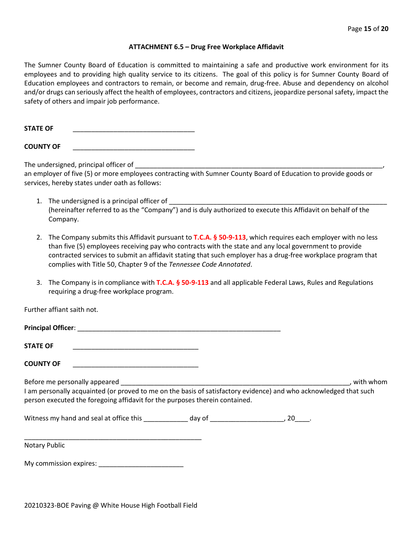#### **ATTACHMENT 6.5 – Drug Free Workplace Affidavit**

The Sumner County Board of Education is committed to maintaining a safe and productive work environment for its employees and to providing high quality service to its citizens. The goal of this policy is for Sumner County Board of Education employees and contractors to remain, or become and remain, drug-free. Abuse and dependency on alcohol and/or drugs can seriously affect the health of employees, contractors and citizens, jeopardize personal safety, impact the safety of others and impair job performance.

STATE OF

**COUNTY OF** \_\_\_\_\_\_\_\_\_\_\_\_\_\_\_\_\_\_\_\_\_\_\_\_\_\_\_\_\_\_\_\_\_

The undersigned, principal officer of

an employer of five (5) or more employees contracting with Sumner County Board of Education to provide goods or services, hereby states under oath as follows:

- 1. The undersigned is a principal officer of (hereinafter referred to as the "Company") and is duly authorized to execute this Affidavit on behalf of the Company.
- 2. The Company submits this Affidavit pursuant to **T.C.A. § 50-9-113**, which requires each employer with no less than five (5) employees receiving pay who contracts with the state and any local government to provide contracted services to submit an affidavit stating that such employer has a drug-free workplace program that complies with Title 50, Chapter 9 of the *Tennessee Code Annotated*.
- 3. The Company is in compliance with **T.C.A. § 50-9-113** and all applicable Federal Laws, Rules and Regulations requiring a drug-free workplace program.

Further affiant saith not.

| <b>Principal Officer:</b> |  |
|---------------------------|--|
| <b>STATE OF</b>           |  |

**COUNTY OF** \_\_\_\_\_\_\_\_\_\_\_\_\_\_\_\_\_\_\_\_\_\_\_\_\_\_\_\_\_\_\_\_\_\_

Before me personally appeared \_\_\_\_\_\_\_\_\_\_\_\_\_\_\_\_\_\_\_\_\_\_\_\_\_\_\_\_\_\_\_\_\_\_\_\_\_\_\_\_\_\_\_\_\_\_\_\_\_\_\_\_\_\_\_\_\_\_\_\_\_\_, with whom I am personally acquainted (or proved to me on the basis of satisfactory evidence) and who acknowledged that such person executed the foregoing affidavit for the purposes therein contained.

Witness my hand and seal at office this \_\_\_\_\_\_\_\_\_\_\_\_\_ day of \_\_\_\_\_\_\_\_\_\_\_\_\_\_\_\_\_\_\_\_, 20\_\_\_\_.

\_\_\_\_\_\_\_\_\_\_\_\_\_\_\_\_\_\_\_\_\_\_\_\_\_\_\_\_\_\_\_\_\_\_\_\_\_\_\_\_\_\_\_\_\_\_\_\_ Notary Public

My commission expires: \_\_\_\_\_\_\_\_\_\_\_\_\_\_\_\_\_\_\_\_\_\_\_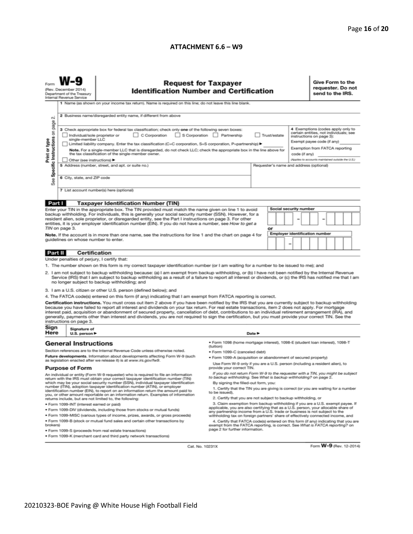#### **ATTACHMENT 6.6 – W9**

| <b>Request for Taxpayer</b><br>(Rev. December 2014)<br><b>Identification Number and Certification</b><br>Department of the Treasury<br>Internal Revenue Service<br>1 Name (as shown on your income tax return). Name is required on this line; do not leave this line blank.                                                                                                                                                                                                                                                                                                                                                                                                                                                                                                                                                                                                                                                                                                                                                                                                                                                                                                                                                                                                                                                                                   |                                                   |                                                                    |                                                                                                                                                                                                                                                                                                                                                                                                                                                                                                                                                                                                                                                                                                                                                                                                                                                                                                                                                                                                                                                                                                                                                                                                                                     |        |  |  |  |                                                                                                                                                                                                                              | Give Form to the<br>requester. Do not<br>send to the IRS. |  |  |  |  |
|----------------------------------------------------------------------------------------------------------------------------------------------------------------------------------------------------------------------------------------------------------------------------------------------------------------------------------------------------------------------------------------------------------------------------------------------------------------------------------------------------------------------------------------------------------------------------------------------------------------------------------------------------------------------------------------------------------------------------------------------------------------------------------------------------------------------------------------------------------------------------------------------------------------------------------------------------------------------------------------------------------------------------------------------------------------------------------------------------------------------------------------------------------------------------------------------------------------------------------------------------------------------------------------------------------------------------------------------------------------|---------------------------------------------------|--------------------------------------------------------------------|-------------------------------------------------------------------------------------------------------------------------------------------------------------------------------------------------------------------------------------------------------------------------------------------------------------------------------------------------------------------------------------------------------------------------------------------------------------------------------------------------------------------------------------------------------------------------------------------------------------------------------------------------------------------------------------------------------------------------------------------------------------------------------------------------------------------------------------------------------------------------------------------------------------------------------------------------------------------------------------------------------------------------------------------------------------------------------------------------------------------------------------------------------------------------------------------------------------------------------------|--------|--|--|--|------------------------------------------------------------------------------------------------------------------------------------------------------------------------------------------------------------------------------|-----------------------------------------------------------|--|--|--|--|
| 2 Business name/disregarded entity name, if different from above<br>N<br>Specific Instructions on page<br>3 Check appropriate box for federal tax classification; check only one of the following seven boxes:<br>C Corporation S Corporation Partnership<br>Individual/sole proprietor or<br>Trust/estate<br>Print or type<br>single-member LLC<br>Limited liability company. Enter the tax classification (C=C corporation, S=S corporation, P=partnership) ><br>Note. For a single-member LLC that is disregarded, do not check LLC; check the appropriate box in the line above for<br>the tax classification of the single-member owner.<br>code (if any)<br>Other (see instructions) ▶<br>5 Address (number, street, and apt. or suite no.)<br>Requester's name and address (optional)<br>6 City, state, and ZIP code<br>See<br>7 List account number(s) here (optional)                                                                                                                                                                                                                                                                                                                                                                                                                                                                                 |                                                   |                                                                    |                                                                                                                                                                                                                                                                                                                                                                                                                                                                                                                                                                                                                                                                                                                                                                                                                                                                                                                                                                                                                                                                                                                                                                                                                                     |        |  |  |  | 4 Exemptions (codes apply only to<br>certain entities, not individuals; see<br>instructions on page 3):<br>Exempt payee code (if any)<br>Exemption from FATCA reporting<br>(Applies to accounts maintained outside the U.S.) |                                                           |  |  |  |  |
|                                                                                                                                                                                                                                                                                                                                                                                                                                                                                                                                                                                                                                                                                                                                                                                                                                                                                                                                                                                                                                                                                                                                                                                                                                                                                                                                                                |                                                   |                                                                    |                                                                                                                                                                                                                                                                                                                                                                                                                                                                                                                                                                                                                                                                                                                                                                                                                                                                                                                                                                                                                                                                                                                                                                                                                                     |        |  |  |  |                                                                                                                                                                                                                              |                                                           |  |  |  |  |
| Part I<br><b>Taxpayer Identification Number (TIN)</b><br>Social security number<br>Enter your TIN in the appropriate box. The TIN provided must match the name given on line 1 to avoid<br>backup withholding. For individuals, this is generally your social security number (SSN). However, for a<br>resident alien, sole proprietor, or disregarded entity, see the Part I instructions on page 3. For other<br>entities, it is your employer identification number (EIN). If you do not have a number, see How to get a<br>TIN on page 3.<br>or<br><b>Employer identification number</b><br>Note. If the account is in more than one name, see the instructions for line 1 and the chart on page 4 for<br>guidelines on whose number to enter.                                                                                                                                                                                                                                                                                                                                                                                                                                                                                                                                                                                                             |                                                   |                                                                    |                                                                                                                                                                                                                                                                                                                                                                                                                                                                                                                                                                                                                                                                                                                                                                                                                                                                                                                                                                                                                                                                                                                                                                                                                                     |        |  |  |  |                                                                                                                                                                                                                              |                                                           |  |  |  |  |
| Part II                                                                                                                                                                                                                                                                                                                                                                                                                                                                                                                                                                                                                                                                                                                                                                                                                                                                                                                                                                                                                                                                                                                                                                                                                                                                                                                                                        | Certification                                     |                                                                    |                                                                                                                                                                                                                                                                                                                                                                                                                                                                                                                                                                                                                                                                                                                                                                                                                                                                                                                                                                                                                                                                                                                                                                                                                                     |        |  |  |  |                                                                                                                                                                                                                              |                                                           |  |  |  |  |
|                                                                                                                                                                                                                                                                                                                                                                                                                                                                                                                                                                                                                                                                                                                                                                                                                                                                                                                                                                                                                                                                                                                                                                                                                                                                                                                                                                | Under penalties of perjury, I certify that:       |                                                                    |                                                                                                                                                                                                                                                                                                                                                                                                                                                                                                                                                                                                                                                                                                                                                                                                                                                                                                                                                                                                                                                                                                                                                                                                                                     |        |  |  |  |                                                                                                                                                                                                                              |                                                           |  |  |  |  |
| 1. The number shown on this form is my correct taxpayer identification number (or I am waiting for a number to be issued to me); and<br>2. I am not subject to backup withholding because: (a) I am exempt from backup withholding, or (b) I have not been notified by the Internal Revenue<br>Service (IRS) that I am subject to backup withholding as a result of a failure to report all interest or dividends, or (c) the IRS has notified me that I am<br>no longer subject to backup withholding; and<br>3. I am a U.S. citizen or other U.S. person (defined below); and<br>4. The FATCA code(s) entered on this form (if any) indicating that I am exempt from FATCA reporting is correct.<br>Certification instructions. You must cross out item 2 above if you have been notified by the IRS that you are currently subject to backup withholding<br>because you have failed to report all interest and dividends on your tax return. For real estate transactions, item 2 does not apply. For mortgage<br>interest paid, acquisition or abandonment of secured property, cancellation of debt, contributions to an individual retirement arrangement (IRA), and<br>generally, payments other than interest and dividends, you are not required to sign the certification, but you must provide your correct TIN. See the<br>instructions on page 3. |                                                   |                                                                    |                                                                                                                                                                                                                                                                                                                                                                                                                                                                                                                                                                                                                                                                                                                                                                                                                                                                                                                                                                                                                                                                                                                                                                                                                                     |        |  |  |  |                                                                                                                                                                                                                              |                                                           |  |  |  |  |
| Sign<br>Here                                                                                                                                                                                                                                                                                                                                                                                                                                                                                                                                                                                                                                                                                                                                                                                                                                                                                                                                                                                                                                                                                                                                                                                                                                                                                                                                                   | Signature of<br>U.S. person $\blacktriangleright$ |                                                                    |                                                                                                                                                                                                                                                                                                                                                                                                                                                                                                                                                                                                                                                                                                                                                                                                                                                                                                                                                                                                                                                                                                                                                                                                                                     | Date P |  |  |  |                                                                                                                                                                                                                              |                                                           |  |  |  |  |
| <b>General Instructions</b><br>Section references are to the Internal Revenue Code unless otherwise noted.<br>Future developments. Information about developments affecting Form W-9 (such<br>as legislation enacted after we release it) is at www.irs.gov/fw9.<br><b>Purpose of Form</b><br>An individual or entity (Form W-9 requester) who is required to file an information<br>return with the IRS must obtain your correct taxpayer identification number (TIN)<br>which may be your social security number (SSN), individual taxpayer identification<br>number (ITIN), adoption taxpayer identification number (ATIN), or employer<br>identification number (EIN), to report on an information return the amount paid to<br>you, or other amount reportable on an information return. Examples of information<br>returns include, but are not limited to, the following:<br>· Form 1099-INT (interest earned or paid)<br>. Form 1099-DIV (dividends, including those from stocks or mutual funds)<br>. Form 1099-MISC (various types of income, prizes, awards, or gross proceeds)<br>. Form 1099-B (stock or mutual fund sales and certain other transactions by<br>brokers)<br>· Form 1099-S (proceeds from real estate transactions)                                                                                                                |                                                   |                                                                    | · Form 1098 (home mortgage interest), 1098-E (student loan interest), 1098-T<br>(tuition)<br>· Form 1099-C (canceled debt)<br>. Form 1099-A (acquisition or abandonment of secured property)<br>Use Form W-9 only if you are a U.S. person (including a resident alien), to<br>provide your correct TIN.<br>If you do not return Form W-9 to the requester with a TIN, you might be subject<br>to backup withholding. See What is backup withholding? on page 2.<br>By signing the filled-out form, you:<br>1. Certify that the TIN you are giving is correct (or you are waiting for a number<br>to be issued).<br>2. Certify that you are not subject to backup withholding, or<br>3. Claim exemption from backup withholding if you are a U.S. exempt payee. If<br>applicable, you are also certifying that as a U.S. person, your allocable share of<br>any partnership income from a U.S. trade or business is not subject to the<br>withholding tax on foreign partners' share of effectively connected income, and<br>4. Certify that FATCA code(s) entered on this form (if any) indicating that you are<br>exempt from the FATCA reporting, is correct. See What is FATCA reporting? on<br>page 2 for further information. |        |  |  |  |                                                                                                                                                                                                                              |                                                           |  |  |  |  |
|                                                                                                                                                                                                                                                                                                                                                                                                                                                                                                                                                                                                                                                                                                                                                                                                                                                                                                                                                                                                                                                                                                                                                                                                                                                                                                                                                                |                                                   | . Form 1099-K (merchant card and third party network transactions) |                                                                                                                                                                                                                                                                                                                                                                                                                                                                                                                                                                                                                                                                                                                                                                                                                                                                                                                                                                                                                                                                                                                                                                                                                                     |        |  |  |  |                                                                                                                                                                                                                              |                                                           |  |  |  |  |

Cat. No. 10231X

Form **W-9** (Rev. 12-2014)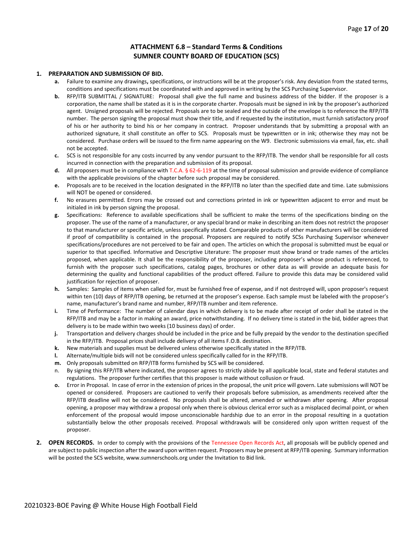#### **ATTACHMENT 6.8 – Standard Terms & Conditions SUMNER COUNTY BOARD OF EDUCATION (SCS)**

#### **1. PREPARATION AND SUBMISSION OF BID.**

- **a.** Failure to examine any drawings**,** specifications, or instructions will be at the proposer's risk. Any deviation from the stated terms, conditions and specifications must be coordinated with and approved in writing by the SCS Purchasing Supervisor.
- **b.** RFP/ITB SUBMITTAL / SIGNATURE: Proposal shall give the full name and business address of the bidder. If the proposer is a corporation, the name shall be stated as it is in the corporate charter. Proposals must be signed in ink by the proposer's authorized agent. Unsigned proposals will be rejected. Proposals are to be sealed and the outside of the envelope is to reference the RFP/ITB number. The person signing the proposal must show their title, and if requested by the institution, must furnish satisfactory proof of his or her authority to bind his or her company in contract. Proposer understands that by submitting a proposal with an authorized signature, it shall constitute an offer to SCS. Proposals must be typewritten or in ink; otherwise they may not be considered. Purchase orders will be issued to the firm name appearing on the W9. Electronic submissions via email, fax, etc. shall not be accepted.
- **c.** SCS is not responsible for any costs incurred by any vendor pursuant to the RFP/ITB. The vendor shall be responsible for all costs incurred in connection with the preparation and submission of its proposal.
- **d.** All proposers must be in compliance with T.C.A. § 62-6-119 at the time of proposal submission and provide evidence of compliance with the applicable provisions of the chapter before such proposal may be considered.
- **e.** Proposals are to be received in the location designated in the RFP/ITB no later than the specified date and time. Late submissions will NOT be opened or considered.
- **f.** No erasures permitted. Errors may be crossed out and corrections printed in ink or typewritten adjacent to error and must be initialed in ink by person signing the proposal.
- **g.** Specifications: Reference to available specifications shall be sufficient to make the terms of the specifications binding on the proposer. The use of the name of a manufacturer, or any special brand or make in describing an item does not restrict the proposer to that manufacturer or specific article, unless specifically stated. Comparable products of other manufacturers will be considered if proof of compatibility is contained in the proposal. Proposers are required to notify SCSs Purchasing Supervisor whenever specifications/procedures are not perceived to be fair and open. The articles on which the proposal is submitted must be equal or superior to that specified. Informative and Descriptive Literature: The proposer must show brand or trade names of the articles proposed, when applicable. It shall be the responsibility of the proposer, including proposer's whose product is referenced, to furnish with the proposer such specifications, catalog pages, brochures or other data as will provide an adequate basis for determining the quality and functional capabilities of the product offered. Failure to provide this data may be considered valid justification for rejection of proposer.
- **h.** Samples: Samples of items when called for, must be furnished free of expense, and if not destroyed will, upon proposer's request within ten (10) days of RFP/ITB opening, be returned at the proposer's expense. Each sample must be labeled with the proposer's name, manufacturer's brand name and number, RFP/ITB number and item reference.
- **i.** Time of Performance: The number of calendar days in which delivery is to be made after receipt of order shall be stated in the RFP/ITB and may be a factor in making an award, price notwithstanding. If no delivery time is stated in the bid, bidder agrees that delivery is to be made within two weeks (10 business days) of order.
- **j.** Transportation and delivery charges should be included in the price and be fully prepaid by the vendor to the destination specified in the RFP/ITB. Proposal prices shall include delivery of all items F.O.B. destination.
- **k.** New materials and supplies must be delivered unless otherwise specifically stated in the RFP/ITB.
- **l.** Alternate/multiple bids will not be considered unless specifically called for in the RFP/ITB.
- **m.** Only proposals submitted on RFP/ITB forms furnished by SCS will be considered.
- n. By signing this RFP/ITB where indicated, the proposer agrees to strictly abide by all applicable local, state and federal statutes and regulations. The proposer further certifies that this proposer is made without collusion or fraud.
- **o.** Error in Proposal. In case of error in the extension of prices in the proposal, the unit price will govern. Late submissions will NOT be opened or considered. Proposers are cautioned to verify their proposals before submission, as amendments received after the RFP/ITB deadline will not be considered. No proposals shall be altered, amended or withdrawn after opening. After proposal opening, a proposer may withdraw a proposal only when there is obvious clerical error such as a misplaced decimal point, or when enforcement of the proposal would impose unconscionable hardship due to an error in the proposal resulting in a quotation substantially below the other proposals received. Proposal withdrawals will be considered only upon written request of the proposer.
- **2. OPEN RECORDS.** In order to comply with the provisions of the Tennessee Open Records Act, all proposals will be publicly opened and are subject to public inspection after the award upon written request. Proposers may be present at RFP/ITB opening. Summary information will be posted the SCS website, www.sumnerschools.org under the Invitation to Bid link.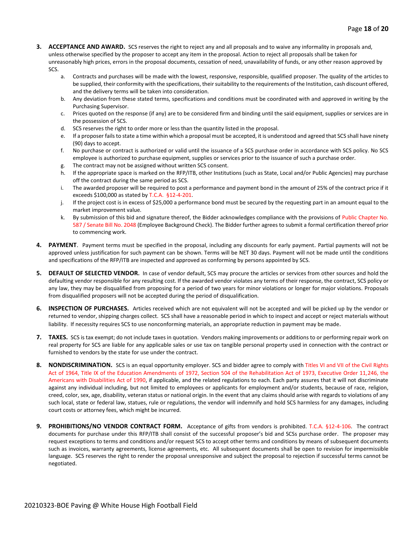- **3. ACCEPTANCE AND AWARD.** SCS reserves the right to reject any and all proposals and to waive any informality in proposals and, unless otherwise specified by the proposer to accept any item in the proposal. Action to reject all proposals shall be taken for unreasonably high prices, errors in the proposal documents, cessation of need, unavailability of funds, or any other reason approved by SCS.
	- a. Contracts and purchases will be made with the lowest, responsive, responsible, qualified proposer. The quality of the articles to be supplied, their conformity with the specifications, their suitability to the requirements of the Institution, cash discount offered, and the delivery terms will be taken into consideration.
	- b. Any deviation from these stated terms, specifications and conditions must be coordinated with and approved in writing by the Purchasing Supervisor.
	- c. Prices quoted on the response (if any) are to be considered firm and binding until the said equipment, supplies or services are in the possession of SCS.
	- d. SCS reserves the right to order more or less than the quantity listed in the proposal.
	- e. If a proposer fails to state a time within which a proposal must be accepted, it is understood and agreed that SCS shall have ninety (90) days to accept.
	- f. No purchase or contract is authorized or valid until the issuance of a SCS purchase order in accordance with SCS policy. No SCS employee is authorized to purchase equipment, supplies or services prior to the issuance of such a purchase order.
	- g. The contract may not be assigned without written SCS consent.
	- h. If the appropriate space is marked on the RFP/ITB, other Institutions (such as State, Local and/or Public Agencies) may purchase off the contract during the same period as SCS.
	- i. The awarded proposer will be required to post a performance and payment bond in the amount of 25% of the contract price if it exceeds \$100,000 as stated by T.C.A. §12-4-201.
	- j. If the project cost is in excess of \$25,000 a performance bond must be secured by the requesting part in an amount equal to the market improvement value.
	- k. By submission of this bid and signature thereof, the Bidder acknowledges compliance with the provisions of Public Chapter No. 587 / Senate Bill No. 2048 (Employee Background Check). The Bidder further agrees to submit a formal certification thereof prior to commencing work.
- **4. PAYMENT**. Payment terms must be specified in the proposal, including any discounts for early payment. Partial payments will not be approved unless justification for such payment can be shown. Terms will be NET 30 days. Payment will not be made until the conditions and specifications of the RFP/ITB are inspected and approved as conforming by persons appointed by SCS.
- **5. DEFAULT OF SELECTED VENDOR.** In case of vendor default, SCS may procure the articles or services from other sources and hold the defaulting vendor responsible for any resulting cost. If the awarded vendor violates any terms of their response, the contract, SCS policy or any law, they may be disqualified from proposing for a period of two years for minor violations or longer for major violations. Proposals from disqualified proposers will not be accepted during the period of disqualification.
- **6. INSPECTION OF PURCHASES.** Articles received which are not equivalent will not be accepted and will be picked up by the vendor or returned to vendor, shipping charges collect. SCS shall have a reasonable period in which to inspect and accept or reject materials without liability. If necessity requires SCS to use nonconforming materials, an appropriate reduction in payment may be made.
- **7. TAXES.** SCS is tax exempt; do not include taxes in quotation. Vendors making improvements or additions to or performing repair work on real property for SCS are liable for any applicable sales or use tax on tangible personal property used in connection with the contract or furnished to vendors by the state for use under the contract.
- **8. NONDISCRIMINATION.** SCS is an equal opportunity employer. SCS and bidder agree to comply with Titles VI and VII of the Civil Rights Act of 1964, Title IX of the Education Amendments of 1972, Section 504 of the Rehabilitation Act of 1973, Executive Order 11,246, the Americans with Disabilities Act of 1990, if applicable, and the related regulations to each. Each party assures that it will not discriminate against any individual including, but not limited to employees or applicants for employment and/or students, because of race, religion, creed, color, sex, age, disability, veteran status or national origin. In the event that any claims should arise with regards to violations of any such local, state or federal law, statues, rule or regulations, the vendor will indemnify and hold SCS harmless for any damages, including court costs or attorney fees, which might be incurred.
- **9. PROHIBITIONS/NO VENDOR CONTRACT FORM.** Acceptance of gifts from vendors is prohibited. T.C.A. §12-4-106. The contract documents for purchase under this RFP/ITB shall consist of the successful proposer's bid and SCSs purchase order. The proposer may request exceptions to terms and conditions and/or request SCS to accept other terms and conditions by means of subsequent documents such as invoices, warranty agreements, license agreements, etc. All subsequent documents shall be open to revision for impermissible language. SCS reserves the right to render the proposal unresponsive and subject the proposal to rejection if successful terms cannot be negotiated.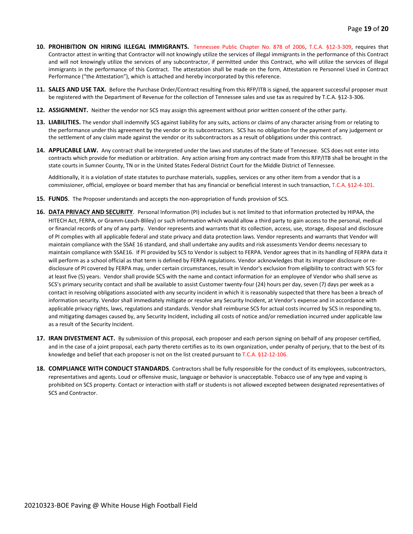- **10. PROHIBITION ON HIRING ILLEGAL IMMIGRANTS.** Tennessee Public Chapter No. 878 of 2006, T.C.A. §12-3-309, requires that Contractor attest in writing that Contractor will not knowingly utilize the services of illegal immigrants in the performance of this Contract and will not knowingly utilize the services of any subcontractor, if permitted under this Contract, who will utilize the services of illegal immigrants in the performance of this Contract. The attestation shall be made on the form, Attestation re Personnel Used in Contract Performance ("the Attestation"), which is attached and hereby incorporated by this reference.
- **11. SALES AND USE TAX.** Before the Purchase Order/Contract resulting from this RFP/ITB is signed, the apparent successful proposer must be registered with the Department of Revenue for the collection of Tennessee sales and use tax as required by T.C.A. §12-3-306.
- **12. ASSIGNMENT.** Neither the vendor nor SCS may assign this agreement without prior written consent of the other party.
- **13. LIABILITIES.** The vendor shall indemnify SCS against liability for any suits, actions or claims of any character arising from or relating to the performance under this agreement by the vendor or its subcontractors. SCS has no obligation for the payment of any judgement or the settlement of any claim made against the vendor or its subcontractors as a result of obligations under this contract.
- **14. APPLICABLE LAW.** Any contract shall be interpreted under the laws and statutes of the State of Tennessee. SCS does not enter into contracts which provide for mediation or arbitration. Any action arising from any contract made from this RFP/ITB shall be brought in the state courts in Sumner County, TN or in the United States Federal District Court for the Middle District of Tennessee.

Additionally, it is a violation of state statutes to purchase materials, supplies, services or any other item from a vendor that is a commissioner, official, employee or board member that has any financial or beneficial interest in such transaction, T.C.A. §12-4-101.

- **15. FUNDS**. The Proposer understands and accepts the non-appropriation of funds provision of SCS.
- **16. DATA PRIVACY AND SECURITY**. Personal Information (PI) includes but is not limited to that information protected by HIPAA, the HITECH Act, FERPA, or Gramm-Leach-Bliley) or such information which would allow a third party to gain access to the personal, medical or financial records of any of any party. Vendor represents and warrants that its collection, access, use, storage, disposal and disclosure of PI complies with all applicable federal and state privacy and data protection laws. Vendor represents and warrants that Vendor will maintain compliance with the SSAE 16 standard, and shall undertake any audits and risk assessments Vendor deems necessary to maintain compliance with SSAE16. If PI provided by SCS to Vendor is subject to FERPA. Vendor agrees that in its handling of FERPA data it will perform as a school official as that term is defined by FERPA regulations. Vendor acknowledges that its improper disclosure or redisclosure of PI covered by FERPA may, under certain circumstances, result in Vendor's exclusion from eligibility to contract with SCS for at least five (5) years. Vendor shall provide SCS with the name and contact information for an employee of Vendor who shall serve as SCS's primary security contact and shall be available to assist Customer twenty-four (24) hours per day, seven (7) days per week as a contact in resolving obligations associated with any security incident in which it is reasonably suspected that there has been a breach of information security. Vendor shall immediately mitigate or resolve any Security Incident, at Vendor's expense and in accordance with applicable privacy rights, laws, regulations and standards. Vendor shall reimburse SCS for actual costs incurred by SCS in responding to, and mitigating damages caused by, any Security Incident, including all costs of notice and/or remediation incurred under applicable law as a result of the Security Incident.
- **17. IRAN DIVESTMENT ACT.** By submission of this proposal, each proposer and each person signing on behalf of any proposer certified, and in the case of a joint proposal, each party thereto certifies as to its own organization, under penalty of perjury, that to the best of its knowledge and belief that each proposer is not on the list created pursuant to T.C.A. §12-12-106.
- **18. COMPLIANCE WITH CONDUCT STANDARDS**. Contractors shall be fully responsible for the conduct of its employees, subcontractors, representatives and agents. Loud or offensive music, language or behavior is unacceptable. Tobacco use of any type and vaping is prohibited on SCS property. Contact or interaction with staff or students is not allowed excepted between designated representatives of SCS and Contractor.